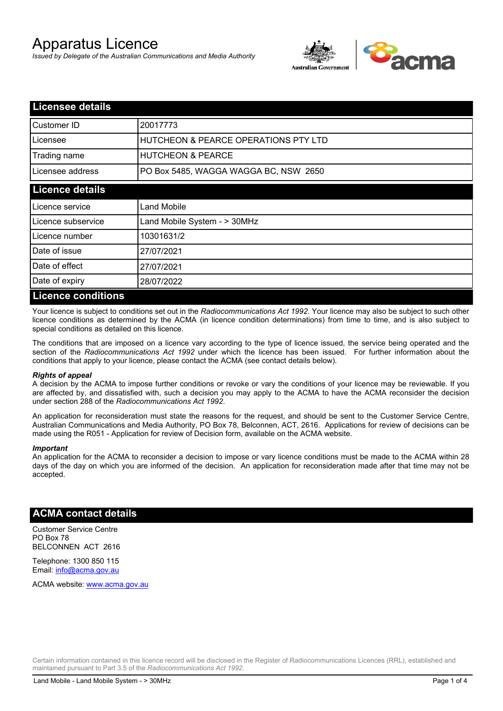# Apparatus Licence

*Issued by Delegate of the Australian Communications and Media Authority*



| <b>Licensee details</b>   |                                       |  |
|---------------------------|---------------------------------------|--|
| Customer ID               | 20017773                              |  |
| Licensee                  | HUTCHEON & PEARCE OPERATIONS PTY LTD  |  |
| Trading name              | <b>HUTCHEON &amp; PEARCE</b>          |  |
| Licensee address          | PO Box 5485, WAGGA WAGGA BC, NSW 2650 |  |
| <b>Licence details</b>    |                                       |  |
| Licence service           | Land Mobile                           |  |
| Licence subservice        | Land Mobile System - > 30MHz          |  |
| Licence number            | 10301631/2                            |  |
| Date of issue             | 27/07/2021                            |  |
| Date of effect            | 27/07/2021                            |  |
| Date of expiry            | 28/07/2022                            |  |
| <b>Licence conditions</b> |                                       |  |

Your licence is subject to conditions set out in the *Radiocommunications Act 1992*. Your licence may also be subject to such other licence conditions as determined by the ACMA (in licence condition determinations) from time to time, and is also subject to special conditions as detailed on this licence.

The conditions that are imposed on a licence vary according to the type of licence issued, the service being operated and the section of the *Radiocommunications Act 1992* under which the licence has been issued. For further information about the conditions that apply to your licence, please contact the ACMA (see contact details below).

#### *Rights of appeal*

A decision by the ACMA to impose further conditions or revoke or vary the conditions of your licence may be reviewable. If you are affected by, and dissatisfied with, such a decision you may apply to the ACMA to have the ACMA reconsider the decision under section 288 of the *Radiocommunications Act 1992*.

An application for reconsideration must state the reasons for the request, and should be sent to the Customer Service Centre, Australian Communications and Media Authority, PO Box 78, Belconnen, ACT, 2616. Applications for review of decisions can be made using the R051 - Application for review of Decision form, available on the ACMA website.

#### *Important*

An application for the ACMA to reconsider a decision to impose or vary licence conditions must be made to the ACMA within 28 days of the day on which you are informed of the decision. An application for reconsideration made after that time may not be accepted.

#### **ACMA contact details**

Customer Service Centre PO Box 78 BELCONNEN ACT 2616

Telephone: 1300 850 115 Email: info@acma.gov.au

ACMA website: www.acma.gov.au

Certain information contained in this licence record will be disclosed in the Register of Radiocommunications Licences (RRL), established and maintained pursuant to Part 3.5 of the *Radiocommunications Act 1992.*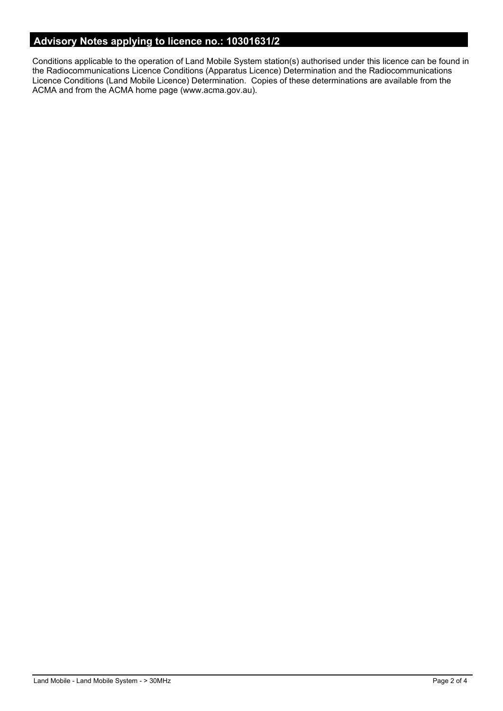# **Advisory Notes applying to licence no.: 10301631/2**

Conditions applicable to the operation of Land Mobile System station(s) authorised under this licence can be found in the Radiocommunications Licence Conditions (Apparatus Licence) Determination and the Radiocommunications Licence Conditions (Land Mobile Licence) Determination. Copies of these determinations are available from the ACMA and from the ACMA home page (www.acma.gov.au).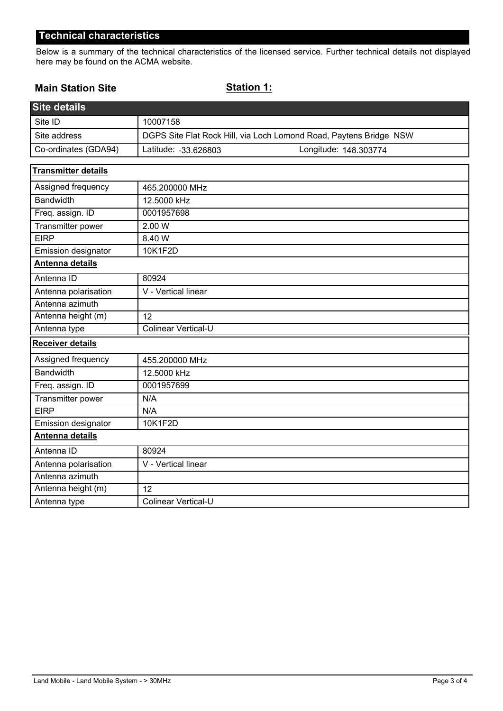## **Technical characteristics**

Below is a summary of the technical characteristics of the licensed service. Further technical details not displayed here may be found on the ACMA website.

#### **Main Station Site**

## **Station 1:**

| <b>Site details</b>        |                                                                    |
|----------------------------|--------------------------------------------------------------------|
| Site ID                    | 10007158                                                           |
| Site address               | DGPS Site Flat Rock Hill, via Loch Lomond Road, Paytens Bridge NSW |
| Co-ordinates (GDA94)       | Latitude: -33.626803<br>Longitude: 148.303774                      |
| <b>Transmitter details</b> |                                                                    |
| Assigned frequency         | 465.200000 MHz                                                     |
| <b>Bandwidth</b>           | 12.5000 kHz                                                        |
| Freq. assign. ID           | 0001957698                                                         |
| Transmitter power          | 2.00 W                                                             |
| <b>EIRP</b>                | 8.40 W                                                             |
| Emission designator        | 10K1F2D                                                            |
| Antenna details            |                                                                    |
| Antenna ID                 | 80924                                                              |
| Antenna polarisation       | V - Vertical linear                                                |
| Antenna azimuth            |                                                                    |
| Antenna height (m)         | 12                                                                 |
| Antenna type               | Colinear Vertical-U                                                |
| <b>Receiver details</b>    |                                                                    |
| Assigned frequency         | 455.200000 MHz                                                     |
| <b>Bandwidth</b>           | 12.5000 kHz                                                        |
| Freq. assign. ID           | 0001957699                                                         |
| Transmitter power          | N/A                                                                |
| <b>EIRP</b>                | N/A                                                                |
| Emission designator        | 10K1F2D                                                            |
| Antenna details            |                                                                    |
| Antenna ID                 | 80924                                                              |
| Antenna polarisation       | V - Vertical linear                                                |
| Antenna azimuth            |                                                                    |
| Antenna height (m)         | 12                                                                 |
| Antenna type               | Colinear Vertical-U                                                |